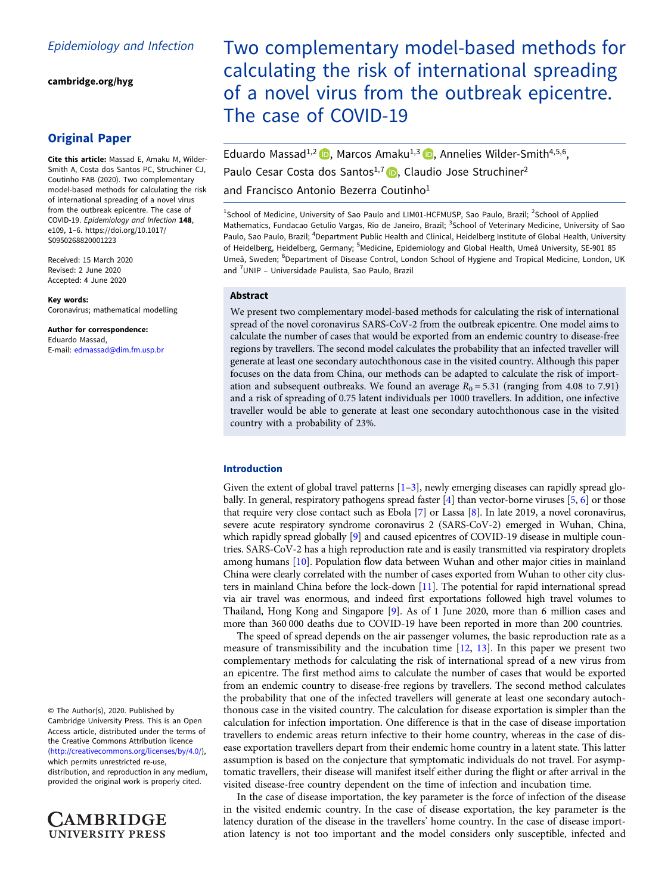[cambridge.org/hyg](https://www.cambridge.org/hyg)

## Original Paper

Cite this article: Massad E, Amaku M, Wilder-Smith A, Costa dos Santos PC, Struchiner CJ, Coutinho FAB (2020). Two complementary model-based methods for calculating the risk of international spreading of a novel virus from the outbreak epicentre. The case of COVID-19. Epidemiology and Infection 148, e109, 1–6. [https://doi.org/10.1017/](https://doi.org/10.1017/S0950268820001223) [S0950268820001223](https://doi.org/10.1017/S0950268820001223)

Received: 15 March 2020 Revised: 2 June 2020 Accepted: 4 June 2020

Key words: Coronavirus; mathematical modelling

Author for correspondence: Eduardo Massad, E-mail: [edmassad@dim.fm.usp.br](mailto:edmassad@dim.fm.usp.br)

© The Author(s), 2020. Published by Cambridge University Press. This is an Open Access article, distributed under the terms of the Creative Commons Attribution licence ([http://creativecommons.org/licenses/by/4.0/\)](http://creativecommons.org/licenses/by/4.0/), which permits unrestricted re-use,

distribution, and reproduction in any medium, provided the original work is properly cited.

AMBRIDGE **UNIVERSITY PRESS** 

# Two complementary model-based methods for calculating the risk of international spreading of a novel virus from the outbreak epicentre. The case of COVID-19

Eduardo Massad<sup>1[,](https://orcid.org/0000-0003-4752-6774)2</sup> **D**, Marcos Amaku<sup>1,3</sup> D, Annelies Wilder-Smith<sup>4,5,6</sup>, Paulo Cesar Costa dos Santos<sup>1[,](https://orcid.org/0000-0002-1987-7211)7</sup> D. Claudio Jose Struchiner<sup>2</sup> and Francisco Antonio Bezerra Coutinho<sup>1</sup>

<sup>1</sup>School of Medicine, University of Sao Paulo and LIM01-HCFMUSP, Sao Paulo, Brazil; <sup>2</sup>School of Applied Mathematics, Fundacao Getulio Vargas, Rio de Janeiro, Brazil; <sup>3</sup>School of Veterinary Medicine, University of Sao Paulo, Sao Paulo, Brazil; <sup>4</sup>Department Public Health and Clinical, Heidelberg Institute of Global Health, University of Heidelberg, Heidelberg, Germany; <sup>5</sup>Medicine, Epidemiology and Global Health, Umeå University, SE-901 85 Umeå, Sweden; <sup>6</sup>Department of Disease Control, London School of Hygiene and Tropical Medicine, London, UK and <sup>7</sup>UNIP - Universidade Paulista, Sao Paulo, Brazil

## Abstract

We present two complementary model-based methods for calculating the risk of international spread of the novel coronavirus SARS-CoV-2 from the outbreak epicentre. One model aims to calculate the number of cases that would be exported from an endemic country to disease-free regions by travellers. The second model calculates the probability that an infected traveller will generate at least one secondary autochthonous case in the visited country. Although this paper focuses on the data from China, our methods can be adapted to calculate the risk of importation and subsequent outbreaks. We found an average  $R_0 = 5.31$  (ranging from 4.08 to 7.91) and a risk of spreading of 0.75 latent individuals per 1000 travellers. In addition, one infective traveller would be able to generate at least one secondary autochthonous case in the visited country with a probability of 23%.

## Introduction

Given the extent of global travel patterns [[1](#page-4-0)–[3](#page-4-0)], newly emerging diseases can rapidly spread globally. In general, respiratory pathogens spread faster [\[4\]](#page-4-0) than vector-borne viruses [\[5,](#page-4-0) [6\]](#page-4-0) or those that require very close contact such as Ebola [\[7\]](#page-4-0) or Lassa [\[8\]](#page-4-0). In late 2019, a novel coronavirus, severe acute respiratory syndrome coronavirus 2 (SARS-CoV-2) emerged in Wuhan, China, which rapidly spread globally [\[9\]](#page-4-0) and caused epicentres of COVID-19 disease in multiple countries. SARS-CoV-2 has a high reproduction rate and is easily transmitted via respiratory droplets among humans [\[10\]](#page-4-0). Population flow data between Wuhan and other major cities in mainland China were clearly correlated with the number of cases exported from Wuhan to other city clusters in mainland China before the lock-down [[11\]](#page-4-0). The potential for rapid international spread via air travel was enormous, and indeed first exportations followed high travel volumes to Thailand, Hong Kong and Singapore [\[9\]](#page-4-0). As of 1 June 2020, more than 6 million cases and more than 360 000 deaths due to COVID-19 have been reported in more than 200 countries.

The speed of spread depends on the air passenger volumes, the basic reproduction rate as a measure of transmissibility and the incubation time  $[12, 13]$  $[12, 13]$  $[12, 13]$  $[12, 13]$ . In this paper we present two complementary methods for calculating the risk of international spread of a new virus from an epicentre. The first method aims to calculate the number of cases that would be exported from an endemic country to disease-free regions by travellers. The second method calculates the probability that one of the infected travellers will generate at least one secondary autochthonous case in the visited country. The calculation for disease exportation is simpler than the calculation for infection importation. One difference is that in the case of disease importation travellers to endemic areas return infective to their home country, whereas in the case of disease exportation travellers depart from their endemic home country in a latent state. This latter assumption is based on the conjecture that symptomatic individuals do not travel. For asymptomatic travellers, their disease will manifest itself either during the flight or after arrival in the visited disease-free country dependent on the time of infection and incubation time.

In the case of disease importation, the key parameter is the force of infection of the disease in the visited endemic country. In the case of disease exportation, the key parameter is the latency duration of the disease in the travellers' home country. In the case of disease importation latency is not too important and the model considers only susceptible, infected and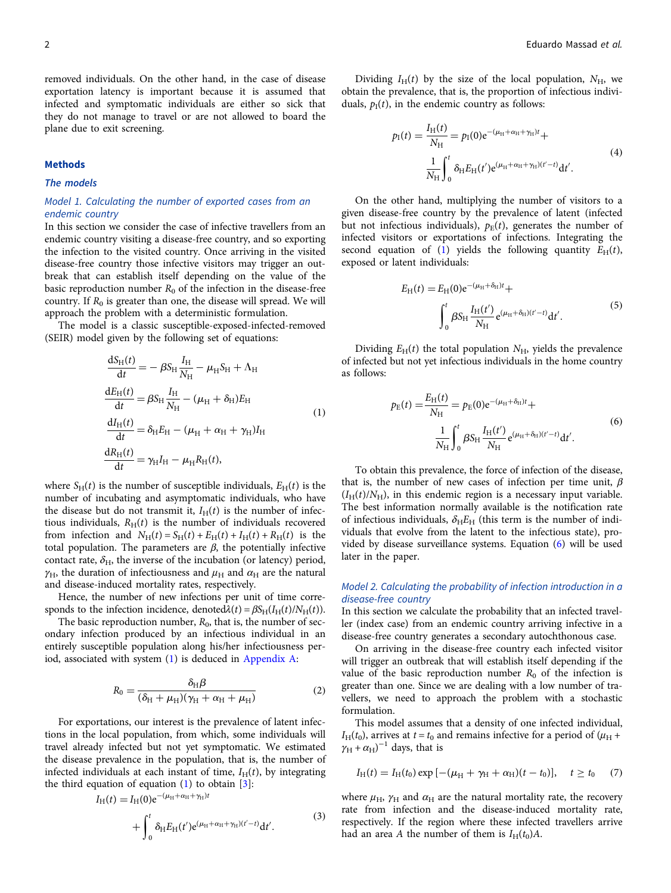<span id="page-1-0"></span>removed individuals. On the other hand, in the case of disease exportation latency is important because it is assumed that infected and symptomatic individuals are either so sick that they do not manage to travel or are not allowed to board the plane due to exit screening.

## Methods

The models

## Model 1. Calculating the number of exported cases from an endemic country

In this section we consider the case of infective travellers from an endemic country visiting a disease-free country, and so exporting the infection to the visited country. Once arriving in the visited disease-free country those infective visitors may trigger an outbreak that can establish itself depending on the value of the basic reproduction number  $R_0$  of the infection in the disease-free country. If  $R_0$  is greater than one, the disease will spread. We will approach the problem with a deterministic formulation.

The model is a classic susceptible-exposed-infected-removed (SEIR) model given by the following set of equations:

$$
\frac{dS_H(t)}{dt} = -\beta S_H \frac{I_H}{N_H} - \mu_H S_H + \Lambda_H
$$
  
\n
$$
\frac{dE_H(t)}{dt} = \beta S_H \frac{I_H}{N_H} - (\mu_H + \delta_H) E_H
$$
  
\n
$$
\frac{dI_H(t)}{dt} = \delta_H E_H - (\mu_H + \alpha_H + \gamma_H) I_H
$$
  
\n
$$
\frac{dR_H(t)}{dt} = \gamma_H I_H - \mu_H R_H(t),
$$
\n(1)

where  $S_H(t)$  is the number of susceptible individuals,  $E_H(t)$  is the number of incubating and asymptomatic individuals, who have the disease but do not transmit it,  $I_H(t)$  is the number of infectious individuals,  $R_H(t)$  is the number of individuals recovered from infection and  $N_H(t) = S_H(t) + E_H(t) + I_H(t) + R_H(t)$  is the total population. The parameters are  $\beta$ , the potentially infective contact rate,  $\delta_{\text{H}}$ , the inverse of the incubation (or latency) period,  $\gamma_{\rm H}$ , the duration of infectiousness and  $\mu_{\rm H}$  and  $\alpha_{\rm H}$  are the natural and disease-induced mortality rates, respectively.

Hence, the number of new infections per unit of time corresponds to the infection incidence, denoted $\lambda(t) = \beta S_H(I_H(t)/N_H(t))$ .

The basic reproduction number,  $R_0$ , that is, the number of secondary infection produced by an infectious individual in an entirely susceptible population along his/her infectiousness period, associated with system (1) is deduced in [Appendix A](#page-4-0):

$$
R_0 = \frac{\delta_H \beta}{(\delta_H + \mu_H)(\gamma_H + \alpha_H + \mu_H)}
$$
(2)

For exportations, our interest is the prevalence of latent infections in the local population, from which, some individuals will travel already infected but not yet symptomatic. We estimated the disease prevalence in the population, that is, the number of infected individuals at each instant of time,  $I_H(t)$ , by integrating the third equation of equation  $(1)$  to obtain  $[3]$  $[3]$ :

$$
I_{H}(t) = I_{H}(0)e^{-(\mu_{H} + \alpha_{H} + \gamma_{H})t} + \int_{0}^{t} \delta_{H}E_{H}(t')e^{(\mu_{H} + \alpha_{H} + \gamma_{H})(t'-t)}dt'.
$$
\n(3)

Dividing  $I_H(t)$  by the size of the local population,  $N_H$ , we obtain the prevalence, that is, the proportion of infectious individuals,  $p<sub>1</sub>(t)$ , in the endemic country as follows:

$$
p_{\rm I}(t) = \frac{I_{\rm H}(t)}{N_{\rm H}} = p_{\rm I}(0) e^{-(\mu_{\rm H} + \alpha_{\rm H} + \gamma_{\rm H})t} +
$$
  

$$
\frac{1}{N_{\rm H}} \int_0^t \delta_{\rm H} E_{\rm H}(t') e^{(\mu_{\rm H} + \alpha_{\rm H} + \gamma_{\rm H})(t'-t)} dt'.
$$
 (4)

On the other hand, multiplying the number of visitors to a given disease-free country by the prevalence of latent (infected but not infectious individuals),  $p_E(t)$ , generates the number of infected visitors or exportations of infections. Integrating the second equation of (1) yields the following quantity  $E_H(t)$ , exposed or latent individuals:

$$
E_{\rm H}(t) = E_{\rm H}(0)e^{-(\mu_{\rm H} + \delta_{\rm H})t} +
$$

$$
\int_0^t \beta S_{\rm H} \frac{I_{\rm H}(t')}{N_{\rm H}} e^{(\mu_{\rm H} + \delta_{\rm H})(t'-t)} dt'.
$$
 (5)

Dividing  $E_H(t)$  the total population  $N_H$ , yields the prevalence of infected but not yet infectious individuals in the home country as follows:

$$
p_{\rm E}(t) = \frac{E_{\rm H}(t)}{N_{\rm H}} = p_{\rm E}(0) e^{-(\mu_{\rm H} + \delta_{\rm H})t} + \frac{1}{N_{\rm H}} \int_0^t \beta S_{\rm H} \frac{I_{\rm H}(t')}{N_{\rm H}} e^{(\mu_{\rm H} + \delta_{\rm H})(t'-t)} \mathrm{d}t'. \tag{6}
$$

To obtain this prevalence, the force of infection of the disease, that is, the number of new cases of infection per time unit,  $\beta$  $(I_H(t)/N_H)$ , in this endemic region is a necessary input variable. The best information normally available is the notification rate of infectious individuals,  $\delta_H E_H$  (this term is the number of individuals that evolve from the latent to the infectious state), provided by disease surveillance systems. Equation (6) will be used later in the paper.

## Model 2. Calculating the probability of infection introduction in a disease-free country

In this section we calculate the probability that an infected traveller (index case) from an endemic country arriving infective in a disease-free country generates a secondary autochthonous case.

On arriving in the disease-free country each infected visitor will trigger an outbreak that will establish itself depending if the value of the basic reproduction number  $R_0$  of the infection is greater than one. Since we are dealing with a low number of travellers, we need to approach the problem with a stochastic formulation.

This model assumes that a density of one infected individual,  $I_H(t_0)$ , arrives at  $t = t_0$  and remains infective for a period of  $(\mu_H +$  $\gamma_H + \alpha_H$ )<sup>-1</sup> days, that is

$$
I_{\rm H}(t) = I_{\rm H}(t_0) \exp\left[-(\mu_{\rm H} + \gamma_{\rm H} + \alpha_{\rm H})(t - t_0)\right], \quad t \ge t_0 \tag{7}
$$

where  $\mu_H$ ,  $\gamma_H$  and  $\alpha_H$  are the natural mortality rate, the recovery rate from infection and the disease-induced mortality rate, respectively. If the region where these infected travellers arrive had an area A the number of them is  $I_H(t_0)A$ .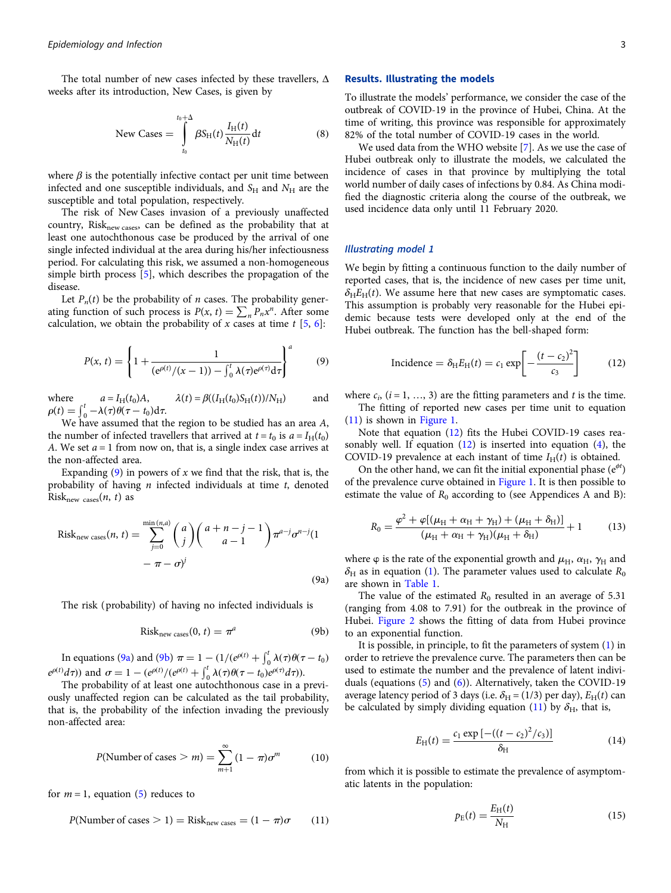<span id="page-2-0"></span>The total number of new cases infected by these travellers, Δ weeks after its introduction, New Cases, is given by

$$
\text{New Cases} = \int_{t_0}^{t_0 + \Delta} \beta S_H(t) \frac{I_H(t)}{N_H(t)} dt \tag{8}
$$

where  $\beta$  is the potentially infective contact per unit time between infected and one susceptible individuals, and  $S_H$  and  $N_H$  are the susceptible and total population, respectively.

The risk of New Cases invasion of a previously unaffected country, Risk<sub>new cases</sub>, can be defined as the probability that at least one autochthonous case be produced by the arrival of one single infected individual at the area during his/her infectiousness period. For calculating this risk, we assumed a non-homogeneous simple birth process [\[5\]](#page-4-0), which describes the propagation of the disease.

Let  $P_n(t)$  be the probability of *n* cases. The probability generating function of such process is  $P(x, t) = \sum_n P_n x^n$ . After some calculation, we obtain the probability of x cases at time  $t$  [\[5,](#page-4-0) [6\]](#page-4-0):

$$
P(x, t) = \left\{ 1 + \frac{1}{(e^{\rho(t)} / (x - 1)) - \int_0^t \lambda(\tau) e^{\rho(\tau)} d\tau} \right\}^a \tag{9}
$$

where  $a = I_H(t_0)A$ ,  $\lambda(t) = \beta((I_H(t_0)S_H(t))/N_H)$  and  $\rho(t) = \int_0^t -\lambda(\tau)\theta(\tau - t_0) d\tau.$ 

We have assumed that the region to be studied has an area A, the number of infected travellers that arrived at  $t = t_0$  is  $a = I_H(t_0)$ A. We set  $a = 1$  from now on, that is, a single index case arrives at the non-affected area.

Expanding  $(9)$  in powers of x we find that the risk, that is, the probability of having  $n$  infected individuals at time  $t$ , denoted Risk<sub>new cases</sub> $(n, t)$  as

Risk<sub>new cases</sub>
$$
(n, t)
$$
 = 
$$
\sum_{j=0}^{\min(n,a)} {a \choose j} {a+n-j-1 \choose a-1} \pi^{a-j} \sigma^{n-j} (1 - \pi - \sigma)^j
$$
(9a)

The risk (probability) of having no infected individuals is

$$
Risknew cases(0, t) = \pia
$$
 (9b)

In equations (9a) and (9b)  $\pi = 1 - (1/(e^{\rho(t)} + \int_0^t \lambda(\tau) \theta(\tau - t_0))$  $e^{\rho(t)}d\tau$ ) and  $\sigma = 1 - (e^{\rho(t)}/(e^{\rho(t)} + \int_0^t \lambda(\tau)\theta(\tau - t_0)e^{\rho(\tau)}d\tau)$ .

The probability of at least one autochthonous case in a previously unaffected region can be calculated as the tail probability, that is, the probability of the infection invading the previously non-affected area:

$$
P(\text{Number of cases} > m) = \sum_{m+1}^{\infty} (1 - \pi)\sigma^m \tag{10}
$$

for  $m = 1$ , equation ([5](#page-1-0)) reduces to

$$
P(\text{Number of cases} > 1) = \text{Risk}_{\text{new cases}} = (1 - \pi)\sigma \qquad (11)
$$

#### Results. Illustrating the models

To illustrate the models' performance, we consider the case of the outbreak of COVID-19 in the province of Hubei, China. At the time of writing, this province was responsible for approximately 82% of the total number of COVID-19 cases in the world.

We used data from the WHO website [[7](#page-4-0)]. As we use the case of Hubei outbreak only to illustrate the models, we calculated the incidence of cases in that province by multiplying the total world number of daily cases of infections by 0.84. As China modified the diagnostic criteria along the course of the outbreak, we used incidence data only until 11 February 2020.

#### Illustrating model 1

We begin by fitting a continuous function to the daily number of reported cases, that is, the incidence of new cases per time unit,  $\delta_H E_H(t)$ . We assume here that new cases are symptomatic cases. This assumption is probably very reasonable for the Hubei epidemic because tests were developed only at the end of the Hubei outbreak. The function has the bell-shaped form:

$$
\text{Incidence} = \delta_{\text{H}} E_{\text{H}}(t) = c_1 \exp\left[-\frac{(t - c_2)^2}{c_3}\right] \tag{12}
$$

where  $c_i$ ,  $(i = 1, ..., 3)$  are the fitting parameters and t is the time. The fitting of reported new cases per time unit to equation (11) is shown in [Figure 1](#page-3-0).

Note that equation (12) fits the Hubei COVID-19 cases reasonably well. If equation  $(12)$  is inserted into equation  $(4)$  $(4)$  $(4)$ , the COVID-19 prevalence at each instant of time  $I_H(t)$  is obtained.

On the other hand, we can fit the initial exponential phase  $(e^{\phi t})$ of the prevalence curve obtained in [Figure 1.](#page-3-0) It is then possible to estimate the value of  $R_0$  according to (see Appendices A and B):

$$
R_0 = \frac{\varphi^2 + \varphi [(\mu_{\rm H} + \alpha_{\rm H} + \gamma_{\rm H}) + (\mu_{\rm H} + \delta_{\rm H})]}{(\mu_{\rm H} + \alpha_{\rm H} + \gamma_{\rm H})(\mu_{\rm H} + \delta_{\rm H})} + 1
$$
 (13)

where  $\varphi$  is the rate of the exponential growth and  $\mu_{\rm H}$ ,  $\alpha_{\rm H}$ ,  $\gamma_{\rm H}$  and  $\delta_{\rm H}$  as in equation [\(1\)](#page-1-0). The parameter values used to calculate  $R_0$ are shown in [Table 1](#page-3-0).

The value of the estimated  $R_0$  resulted in an average of 5.31 (ranging from 4.08 to 7.91) for the outbreak in the province of Hubei. [Figure 2](#page-3-0) shows the fitting of data from Hubei province to an exponential function.

It is possible, in principle, to fit the parameters of system ([1](#page-1-0)) in order to retrieve the prevalence curve. The parameters then can be used to estimate the number and the prevalence of latent individuals (equations ([5](#page-1-0)) and ([6](#page-1-0))). Alternatively, taken the COVID-19 average latency period of 3 days (i.e.  $\delta_H = (1/3)$  per day),  $E_H(t)$  can be calculated by simply dividing equation (11) by  $\delta_{\rm H}$ , that is,

$$
E_{\rm H}(t) = \frac{c_1 \exp\left[-((t-c_2)^2/c_3)\right]}{\delta_{\rm H}}
$$
(14)

from which it is possible to estimate the prevalence of asymptomatic latents in the population:

$$
p_{\rm E}(t) = \frac{E_{\rm H}(t)}{N_{\rm H}}\tag{15}
$$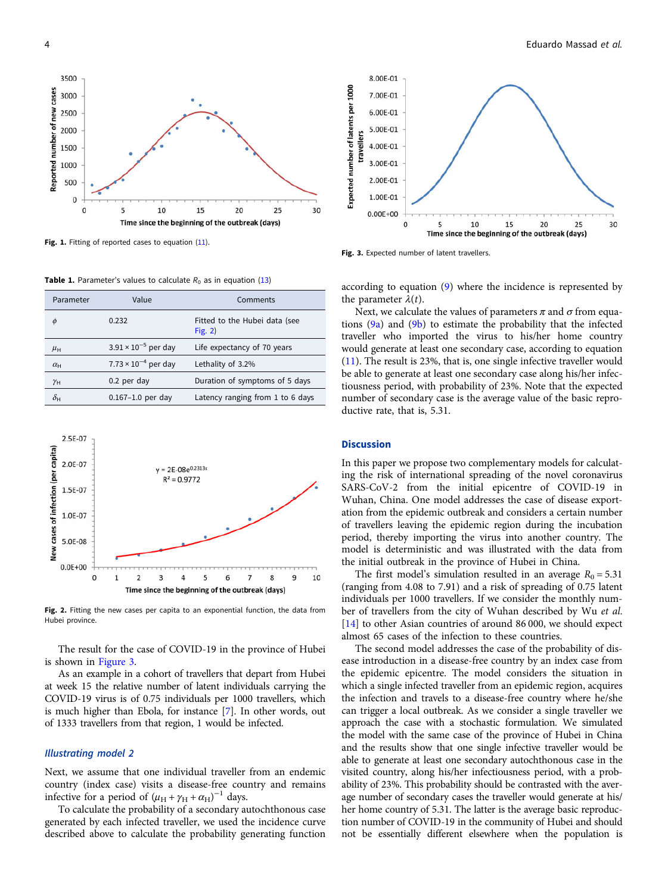<span id="page-3-0"></span>

Fig. 1. Fitting of reported cases to equation ([11](#page-2-0)).

**Table 1.** Parameter's values to calculate  $R_0$  as in equation [\(13\)](#page-2-0)

| Parameter             | Value                                  | Comments                                   |
|-----------------------|----------------------------------------|--------------------------------------------|
| φ                     | 0.232                                  | Fitted to the Hubei data (see<br>Fig. $2)$ |
| $\mu_{\rm H}$         | $3.91 \times 10^{-5}$ per day          | Life expectancy of 70 years                |
| $\alpha_{\rm H}$      | 7.73 $\times$ 10 <sup>-4</sup> per day | Lethality of 3.2%                          |
| $\gamma$ H            | 0.2 per day                            | Duration of symptoms of 5 days             |
| $\delta_{\mathsf{H}}$ | $0.167 - 1.0$ per day                  | Latency ranging from 1 to 6 days           |
|                       |                                        |                                            |



Fig. 2. Fitting the new cases per capita to an exponential function, the data from Hubei province.

The result for the case of COVID-19 in the province of Hubei is shown in Figure 3.

As an example in a cohort of travellers that depart from Hubei at week 15 the relative number of latent individuals carrying the COVID-19 virus is of 0.75 individuals per 1000 travellers, which is much higher than Ebola, for instance [\[7\]](#page-4-0). In other words, out of 1333 travellers from that region, 1 would be infected.

#### Illustrating model 2

Next, we assume that one individual traveller from an endemic country (index case) visits a disease-free country and remains infective for a period of  $(\mu_H + \gamma_H + \alpha_H)^{-1}$  days.

To calculate the probability of a secondary autochthonous case generated by each infected traveller, we used the incidence curve described above to calculate the probability generating function



Fig. 3. Expected number of latent travellers.

according to equation ([9](#page-2-0)) where the incidence is represented by the parameter  $\lambda(t)$ .

Next, we calculate the values of parameters  $\pi$  and  $\sigma$  from equations  $(9a)$  $(9a)$  and  $(9b)$  $(9b)$  $(9b)$  to estimate the probability that the infected traveller who imported the virus to his/her home country would generate at least one secondary case, according to equation ([11\)](#page-2-0). The result is 23%, that is, one single infective traveller would be able to generate at least one secondary case along his/her infectiousness period, with probability of 23%. Note that the expected number of secondary case is the average value of the basic reproductive rate, that is, 5.31.

### **Discussion**

In this paper we propose two complementary models for calculating the risk of international spreading of the novel coronavirus SARS-CoV-2 from the initial epicentre of COVID-19 in Wuhan, China. One model addresses the case of disease exportation from the epidemic outbreak and considers a certain number of travellers leaving the epidemic region during the incubation period, thereby importing the virus into another country. The model is deterministic and was illustrated with the data from the initial outbreak in the province of Hubei in China.

The first model's simulation resulted in an average  $R_0 = 5.31$ (ranging from 4.08 to 7.91) and a risk of spreading of 0.75 latent individuals per 1000 travellers. If we consider the monthly number of travellers from the city of Wuhan described by Wu et al. [[14\]](#page-4-0) to other Asian countries of around 86 000, we should expect almost 65 cases of the infection to these countries.

The second model addresses the case of the probability of disease introduction in a disease-free country by an index case from the epidemic epicentre. The model considers the situation in which a single infected traveller from an epidemic region, acquires the infection and travels to a disease-free country where he/she can trigger a local outbreak. As we consider a single traveller we approach the case with a stochastic formulation. We simulated the model with the same case of the province of Hubei in China and the results show that one single infective traveller would be able to generate at least one secondary autochthonous case in the visited country, along his/her infectiousness period, with a probability of 23%. This probability should be contrasted with the average number of secondary cases the traveller would generate at his/ her home country of 5.31. The latter is the average basic reproduction number of COVID-19 in the community of Hubei and should not be essentially different elsewhere when the population is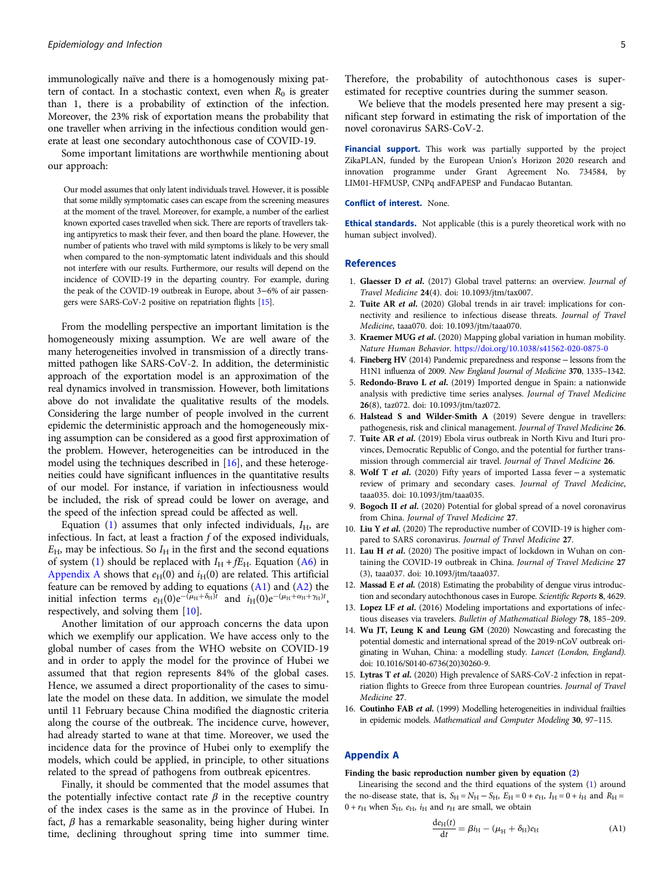<span id="page-4-0"></span>immunologically naïve and there is a homogenously mixing pattern of contact. In a stochastic context, even when  $R_0$  is greater than 1, there is a probability of extinction of the infection. Moreover, the 23% risk of exportation means the probability that one traveller when arriving in the infectious condition would generate at least one secondary autochthonous case of COVID-19.

Some important limitations are worthwhile mentioning about our approach:

Our model assumes that only latent individuals travel. However, it is possible that some mildly symptomatic cases can escape from the screening measures at the moment of the travel. Moreover, for example, a number of the earliest known exported cases travelled when sick. There are reports of travellers taking antipyretics to mask their fever, and then board the plane. However, the number of patients who travel with mild symptoms is likely to be very small when compared to the non-symptomatic latent individuals and this should not interfere with our results. Furthermore, our results will depend on the incidence of COVID-19 in the departing country. For example, during the peak of the COVID-19 outbreak in Europe, about 3−6% of air passengers were SARS-CoV-2 positive on repatriation flights [15].

From the modelling perspective an important limitation is the homogeneously mixing assumption. We are well aware of the many heterogeneities involved in transmission of a directly transmitted pathogen like SARS-CoV-2. In addition, the deterministic approach of the exportation model is an approximation of the real dynamics involved in transmission. However, both limitations above do not invalidate the qualitative results of the models. Considering the large number of people involved in the current epidemic the deterministic approach and the homogeneously mixing assumption can be considered as a good first approximation of the problem. However, heterogeneities can be introduced in the model using the techniques described in [16], and these heterogeneities could have significant influences in the quantitative results of our model. For instance, if variation in infectiousness would be included, the risk of spread could be lower on average, and the speed of the infection spread could be affected as well.

Equation [\(1\)](#page-1-0) assumes that only infected individuals,  $I_{\rm H}$ , are infectious. In fact, at least a fraction  $f$  of the exposed individuals,  $E_{\text{H}}$ , may be infectious. So  $I_{\text{H}}$  in the first and the second equations of system ([1](#page-1-0)) should be replaced with  $I_H + fE_H$ . Equation ([A6](#page-5-0)) in Appendix A shows that  $e_H(0)$  and  $i_H(0)$  are related. This artificial feature can be removed by adding to equations (A1) and [\(A2](#page-5-0)) the initial infection terms  $e_H(0)e^{-(\mu_H+\delta_H)t}$  and  $i_H(0)e^{-(\mu_H+\alpha_H+\gamma_H)t}$ , respectively, and solving them [10].

Another limitation of our approach concerns the data upon which we exemplify our application. We have access only to the global number of cases from the WHO website on COVID-19 and in order to apply the model for the province of Hubei we assumed that that region represents 84% of the global cases. Hence, we assumed a direct proportionality of the cases to simulate the model on these data. In addition, we simulate the model until 11 February because China modified the diagnostic criteria along the course of the outbreak. The incidence curve, however, had already started to wane at that time. Moreover, we used the incidence data for the province of Hubei only to exemplify the models, which could be applied, in principle, to other situations related to the spread of pathogens from outbreak epicentres.

Finally, it should be commented that the model assumes that the potentially infective contact rate  $\beta$  in the receptive country of the index cases is the same as in the province of Hubei. In fact,  $\beta$  has a remarkable seasonality, being higher during winter time, declining throughout spring time into summer time.

Therefore, the probability of autochthonous cases is superestimated for receptive countries during the summer season.

We believe that the models presented here may present a significant step forward in estimating the risk of importation of the novel coronavirus SARS-CoV-2.

Financial support. This work was partially supported by the project ZikaPLAN, funded by the European Union's Horizon 2020 research and innovation programme under Grant Agreement No. 734584, by LIM01-HFMUSP, CNPq andFAPESP and Fundacao Butantan.

#### Conflict of interest. None.

Ethical standards. Not applicable (this is a purely theoretical work with no human subject involved).

#### References

- 1. Glaesser D et al. (2017) Global travel patterns: an overview. Journal of Travel Medicine 24(4). doi: 10.1093/jtm/tax007.
- 2. Tuite AR et al. (2020) Global trends in air travel: implications for connectivity and resilience to infectious disease threats. Journal of Travel Medicine, taaa070. doi: 10.1093/jtm/taaa070.
- 3. Kraemer MUG et al. (2020) Mapping global variation in human mobility. Nature Human Behavior. <https://doi.org/10.1038/s41562-020-0875-0>
- 4. Fineberg HV (2014) Pandemic preparedness and response − lessons from the H1N1 influenza of 2009. New England Journal of Medicine 370, 1335–1342.
- 5. Redondo-Bravo L et al. (2019) Imported dengue in Spain: a nationwide analysis with predictive time series analyses. Journal of Travel Medicine 26(8), taz072. doi: 10.1093/jtm/taz072.
- 6. Halstead S and Wilder-Smith A (2019) Severe dengue in travellers: pathogenesis, risk and clinical management. Journal of Travel Medicine 26.
- 7. Tuite AR et al. (2019) Ebola virus outbreak in North Kivu and Ituri provinces, Democratic Republic of Congo, and the potential for further transmission through commercial air travel. Journal of Travel Medicine 26.
- 8. Wolf T et al. (2020) Fifty years of imported Lassa fever − a systematic review of primary and secondary cases. Journal of Travel Medicine, taaa035. doi: 10.1093/jtm/taaa035.
- 9. Bogoch II et al. (2020) Potential for global spread of a novel coronavirus from China. Journal of Travel Medicine 27.
- 10. Liu Y et al. (2020) The reproductive number of COVID-19 is higher compared to SARS coronavirus. Journal of Travel Medicine 27.
- 11. Lau H et al. (2020) The positive impact of lockdown in Wuhan on containing the COVID-19 outbreak in China. Journal of Travel Medicine 27 (3), taaa037. doi: 10.1093/jtm/taaa037.
- 12. Massad E et al. (2018) Estimating the probability of dengue virus introduction and secondary autochthonous cases in Europe. Scientific Reports 8, 4629.
- 13. Lopez LF et al. (2016) Modeling importations and exportations of infectious diseases via travelers. Bulletin of Mathematical Biology 78, 185-209.
- 14. Wu JT, Leung K and Leung GM (2020) Nowcasting and forecasting the potential domestic and international spread of the 2019-nCoV outbreak originating in Wuhan, China: a modelling study. Lancet (London, England). doi: 10.1016/S0140-6736(20)30260-9.
- 15. Lytras T et al. (2020) High prevalence of SARS-CoV-2 infection in repatriation flights to Greece from three European countries. Journal of Travel Medicine 27.
- 16. Coutinho FAB et al. (1999) Modelling heterogeneities in individual frailties in epidemic models. Mathematical and Computer Modeling 30, 97-115.

## Appendix A

#### Finding the basic reproduction number given by equation ([2\)](#page-1-0)

Linearising the second and the third equations of the system [\(1](#page-1-0)) around the no-disease state, that is,  $S_H = N_H - S_H$ ,  $E_H = 0 + e_H$ ,  $I_H = 0 + i_H$  and  $R_H =$  $0 + r_H$  when  $S_H$ ,  $e_H$ ,  $i_H$  and  $r_H$  are small, we obtain

$$
\frac{\mathrm{d}e_{\mathrm{H}}(t)}{\mathrm{d}t} = \beta i_{\mathrm{H}} - (\mu_{\mathrm{H}} + \delta_{\mathrm{H}})e_{\mathrm{H}} \tag{A1}
$$